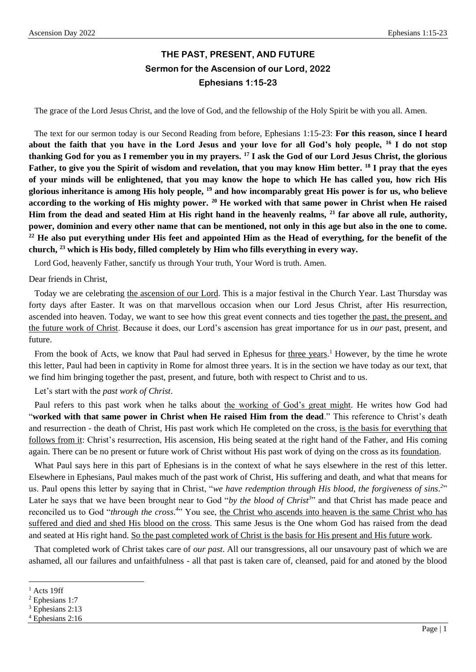# **THE PAST, PRESENT, AND FUTURE Sermon for the Ascension of our Lord, 2022 Ephesians 1:15-23**

The grace of the Lord Jesus Christ, and the love of God, and the fellowship of the Holy Spirit be with you all. Amen.

The text for our sermon today is our Second Reading from before, Ephesians 1:15-23: **For this reason, since I heard about the faith that you have in the Lord Jesus and your love for all God's holy people, <sup>16</sup> I do not stop thanking God for you as I remember you in my prayers. <sup>17</sup> I ask the God of our Lord Jesus Christ, the glorious Father, to give you the Spirit of wisdom and revelation, that you may know Him better. <sup>18</sup> I pray that the eyes of your minds will be enlightened, that you may know the hope to which He has called you, how rich His glorious inheritance is among His holy people, <sup>19</sup> and how incomparably great His power is for us, who believe according to the working of His mighty power. <sup>20</sup> He worked with that same power in Christ when He raised Him from the dead and seated Him at His right hand in the heavenly realms, <sup>21</sup> far above all rule, authority, power, dominion and every other name that can be mentioned, not only in this age but also in the one to come.**  <sup>22</sup> He also put everything under His feet and appointed Him as the Head of everything, for the benefit of the **church, <sup>23</sup> which is His body, filled completely by Him who fills everything in every way.**

Lord God, heavenly Father, sanctify us through Your truth, Your Word is truth. Amen.

### Dear friends in Christ,

Today we are celebrating the ascension of our Lord. This is a major festival in the Church Year. Last Thursday was forty days after Easter. It was on that marvellous occasion when our Lord Jesus Christ, after His resurrection, ascended into heaven. Today, we want to see how this great event connects and ties together the past, the present, and the future work of Christ. Because it does, our Lord's ascension has great importance for us in *our* past, present, and future.

From the book of Acts, we know that Paul had served in Ephesus for three years.<sup>1</sup> However, by the time he wrote this letter, Paul had been in captivity in Rome for almost three years. It is in the section we have today as our text, that we find him bringing together the past, present, and future, both with respect to Christ and to us.

Let's start with the *past work of Christ*.

Paul refers to this past work when he talks about the working of God's great might. He writes how God had "**worked with that same power in Christ when He raised Him from the dead**." This reference to Christ's death and resurrection - the death of Christ, His past work which He completed on the cross, is the basis for everything that follows from it: Christ's resurrection, His ascension, His being seated at the right hand of the Father, and His coming again. There can be no present or future work of Christ without His past work of dying on the cross as its foundation.

What Paul says here in this part of Ephesians is in the context of what he says elsewhere in the rest of this letter. Elsewhere in Ephesians, Paul makes much of the past work of Christ, His suffering and death, and what that means for us. Paul opens this letter by saying that in Christ, "*we have redemption through His blood, the forgiveness of sins. 2* " Later he says that we have been brought near to God "*by the blood of Christ<sup>3</sup>*" and that Christ has made peace and reconciled us to God "*through the cross*.<sup>4</sup>" You see, <u>the Christ who ascends into heaven is the same Christ who has</u> suffered and died and shed His blood on the cross. This same Jesus is the One whom God has raised from the dead and seated at His right hand. So the past completed work of Christ is the basis for His present and His future work.

That completed work of Christ takes care of *our past*. All our transgressions, all our unsavoury past of which we are ashamed, all our failures and unfaithfulness - all that past is taken care of, cleansed, paid for and atoned by the blood

 $<sup>1</sup>$  Acts 19ff</sup>

<sup>2</sup> Ephesians 1:7

<sup>&</sup>lt;sup>3</sup> Ephesians 2:13

<sup>4</sup> Ephesians 2:16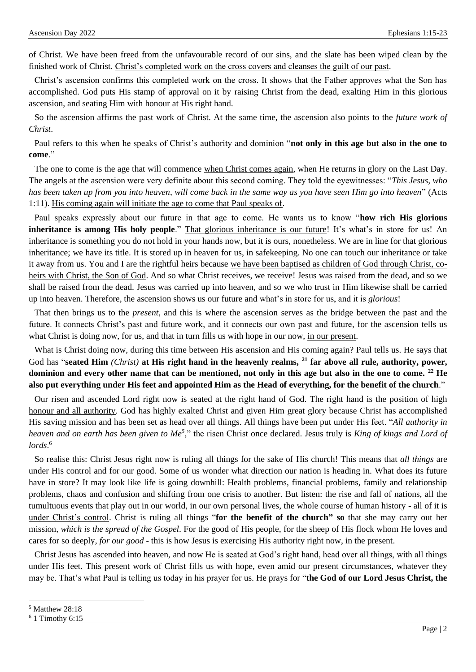of Christ. We have been freed from the unfavourable record of our sins, and the slate has been wiped clean by the finished work of Christ. Christ's completed work on the cross covers and cleanses the guilt of our past.

Christ's ascension confirms this completed work on the cross. It shows that the Father approves what the Son has accomplished. God puts His stamp of approval on it by raising Christ from the dead, exalting Him in this glorious ascension, and seating Him with honour at His right hand.

So the ascension affirms the past work of Christ. At the same time, the ascension also points to the *future work of Christ*.

Paul refers to this when he speaks of Christ's authority and dominion "**not only in this age but also in the one to come**."

The one to come is the age that will commence when Christ comes again, when He returns in glory on the Last Day. The angels at the ascension were very definite about this second coming. They told the eyewitnesses: "*This Jesus, who has been taken up from you into heaven, will come back in the same way as you have seen Him go into heaven*" (Acts 1:11). His coming again will initiate the age to come that Paul speaks of.

Paul speaks expressly about our future in that age to come. He wants us to know "**how rich His glorious inheritance is among His holy people**." That glorious inheritance is our future! It's what's in store for us! An inheritance is something you do not hold in your hands now, but it is ours, nonetheless. We are in line for that glorious inheritance; we have its title. It is stored up in heaven for us, in safekeeping. No one can touch our inheritance or take it away from us. You and I are the rightful heirs because we have been baptised as children of God through Christ, coheirs with Christ, the Son of God. And so what Christ receives, we receive! Jesus was raised from the dead, and so we shall be raised from the dead. Jesus was carried up into heaven, and so we who trust in Him likewise shall be carried up into heaven. Therefore, the ascension shows us our future and what's in store for us, and it is *glorious*!

That then brings us to the *present*, and this is where the ascension serves as the bridge between the past and the future. It connects Christ's past and future work, and it connects our own past and future, for the ascension tells us what Christ is doing now, for us, and that in turn fills us with hope in our now, in our present.

What is Christ doing now, during this time between His ascension and His coming again? Paul tells us. He says that God has "**seated Him** *(Christ)* **at His right hand in the heavenly realms, <sup>21</sup> far above all rule, authority, power, dominion and every other name that can be mentioned, not only in this age but also in the one to come. <sup>22</sup> He also put everything under His feet and appointed Him as the Head of everything, for the benefit of the church**."

Our risen and ascended Lord right now is seated at the right hand of God. The right hand is the position of high honour and all authority. God has highly exalted Christ and given Him great glory because Christ has accomplished His saving mission and has been set as head over all things. All things have been put under His feet. "*All authority in heaven and on earth has been given to Me<sup>5</sup>* ," the risen Christ once declared. Jesus truly is *King of kings and Lord of lords*. 6

So realise this: Christ Jesus right now is ruling all things for the sake of His church! This means that *all things* are under His control and for our good. Some of us wonder what direction our nation is heading in. What does its future have in store? It may look like life is going downhill: Health problems, financial problems, family and relationship problems, chaos and confusion and shifting from one crisis to another. But listen: the rise and fall of nations, all the tumultuous events that play out in our world, in our own personal lives, the whole course of human history - all of it is under Christ's control. Christ is ruling all things "**for the benefit of the church" so** that she may carry out her mission, *which is the spread of the Gospel*. For the good of His people, for the sheep of His flock whom He loves and cares for so deeply, *for our good* - this is how Jesus is exercising His authority right now, in the present.

Christ Jesus has ascended into heaven, and now He is seated at God's right hand, head over all things, with all things under His feet. This present work of Christ fills us with hope, even amid our present circumstances, whatever they may be. That's what Paul is telling us today in his prayer for us. He prays for "**the God of our Lord Jesus Christ, the** 

<sup>5</sup> Matthew 28:18

 $6$  1 Timothy 6:15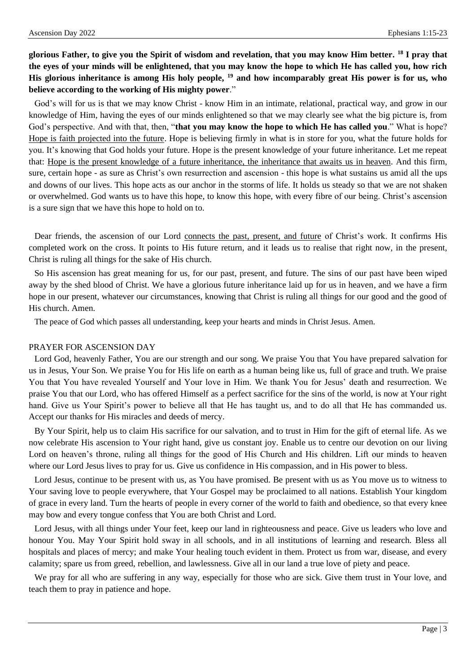**glorious Father, to give you the Spirit of wisdom and revelation, that you may know Him better. <sup>18</sup> I pray that the eyes of your minds will be enlightened, that you may know the hope to which He has called you, how rich His glorious inheritance is among His holy people, <sup>19</sup> and how incomparably great His power is for us, who believe according to the working of His mighty power**."

God's will for us is that we may know Christ - know Him in an intimate, relational, practical way, and grow in our knowledge of Him, having the eyes of our minds enlightened so that we may clearly see what the big picture is, from God's perspective. And with that, then, "**that you may know the hope to which He has called you**." What is hope? Hope is faith projected into the future. Hope is believing firmly in what is in store for you, what the future holds for you. It's knowing that God holds your future. Hope is the present knowledge of your future inheritance. Let me repeat that: Hope is the present knowledge of a future inheritance, the inheritance that awaits us in heaven. And this firm, sure, certain hope - as sure as Christ's own resurrection and ascension - this hope is what sustains us amid all the ups and downs of our lives. This hope acts as our anchor in the storms of life. It holds us steady so that we are not shaken or overwhelmed. God wants us to have this hope, to know this hope, with every fibre of our being. Christ's ascension is a sure sign that we have this hope to hold on to.

Dear friends, the ascension of our Lord connects the past, present, and future of Christ's work. It confirms His completed work on the cross. It points to His future return, and it leads us to realise that right now, in the present, Christ is ruling all things for the sake of His church.

So His ascension has great meaning for us, for our past, present, and future. The sins of our past have been wiped away by the shed blood of Christ. We have a glorious future inheritance laid up for us in heaven, and we have a firm hope in our present, whatever our circumstances, knowing that Christ is ruling all things for our good and the good of His church. Amen.

The peace of God which passes all understanding, keep your hearts and minds in Christ Jesus. Amen.

#### PRAYER FOR ASCENSION DAY

Lord God, heavenly Father, You are our strength and our song. We praise You that You have prepared salvation for us in Jesus, Your Son. We praise You for His life on earth as a human being like us, full of grace and truth. We praise You that You have revealed Yourself and Your love in Him. We thank You for Jesus' death and resurrection. We praise You that our Lord, who has offered Himself as a perfect sacrifice for the sins of the world, is now at Your right hand. Give us Your Spirit's power to believe all that He has taught us, and to do all that He has commanded us. Accept our thanks for His miracles and deeds of mercy.

By Your Spirit, help us to claim His sacrifice for our salvation, and to trust in Him for the gift of eternal life. As we now celebrate His ascension to Your right hand, give us constant joy. Enable us to centre our devotion on our living Lord on heaven's throne, ruling all things for the good of His Church and His children. Lift our minds to heaven where our Lord Jesus lives to pray for us. Give us confidence in His compassion, and in His power to bless.

Lord Jesus, continue to be present with us, as You have promised. Be present with us as You move us to witness to Your saving love to people everywhere, that Your Gospel may be proclaimed to all nations. Establish Your kingdom of grace in every land. Turn the hearts of people in every corner of the world to faith and obedience, so that every knee may bow and every tongue confess that You are both Christ and Lord.

Lord Jesus, with all things under Your feet, keep our land in righteousness and peace. Give us leaders who love and honour You. May Your Spirit hold sway in all schools, and in all institutions of learning and research. Bless all hospitals and places of mercy; and make Your healing touch evident in them. Protect us from war, disease, and every calamity; spare us from greed, rebellion, and lawlessness. Give all in our land a true love of piety and peace.

We pray for all who are suffering in any way, especially for those who are sick. Give them trust in Your love, and teach them to pray in patience and hope.